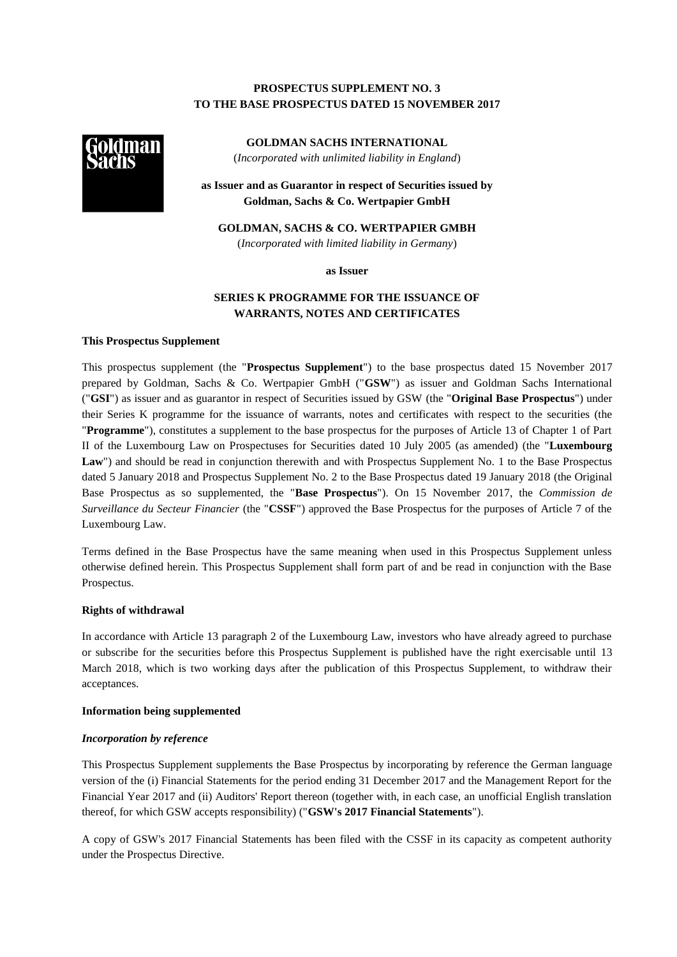# **PROSPECTUS SUPPLEMENT NO. 3 TO THE BASE PROSPECTUS DATED 15 NOVEMBER 2017**



**GOLDMAN SACHS INTERNATIONAL** (*Incorporated with unlimited liability in England*)

**as Issuer and as Guarantor in respect of Securities issued by Goldman, Sachs & Co. Wertpapier GmbH**

**GOLDMAN, SACHS & CO. WERTPAPIER GMBH** (*Incorporated with limited liability in Germany*)

**as Issuer**

# **SERIES K PROGRAMME FOR THE ISSUANCE OF WARRANTS, NOTES AND CERTIFICATES**

## **This Prospectus Supplement**

This prospectus supplement (the "**Prospectus Supplement**") to the base prospectus dated 15 November 2017 prepared by Goldman, Sachs & Co. Wertpapier GmbH ("**GSW**") as issuer and Goldman Sachs International ("**GSI**") as issuer and as guarantor in respect of Securities issued by GSW (the "**Original Base Prospectus**") under their Series K programme for the issuance of warrants, notes and certificates with respect to the securities (the "**Programme**"), constitutes a supplement to the base prospectus for the purposes of Article 13 of Chapter 1 of Part II of the Luxembourg Law on Prospectuses for Securities dated 10 July 2005 (as amended) (the "**Luxembourg Law**") and should be read in conjunction therewith and with Prospectus Supplement No. 1 to the Base Prospectus dated 5 January 2018 and Prospectus Supplement No. 2 to the Base Prospectus dated 19 January 2018 (the Original Base Prospectus as so supplemented, the "**Base Prospectus**"). On 15 November 2017, the *Commission de Surveillance du Secteur Financier* (the "**CSSF**") approved the Base Prospectus for the purposes of Article 7 of the Luxembourg Law.

Terms defined in the Base Prospectus have the same meaning when used in this Prospectus Supplement unless otherwise defined herein. This Prospectus Supplement shall form part of and be read in conjunction with the Base Prospectus.

### **Rights of withdrawal**

In accordance with Article 13 paragraph 2 of the Luxembourg Law, investors who have already agreed to purchase or subscribe for the securities before this Prospectus Supplement is published have the right exercisable until 13 March 2018, which is two working days after the publication of this Prospectus Supplement, to withdraw their acceptances.

### **Information being supplemented**

# *Incorporation by reference*

This Prospectus Supplement supplements the Base Prospectus by incorporating by reference the German language version of the (i) Financial Statements for the period ending 31 December 2017 and the Management Report for the Financial Year 2017 and (ii) Auditors' Report thereon (together with, in each case, an unofficial English translation thereof, for which GSW accepts responsibility) ("**GSW's 2017 Financial Statements**").

A copy of GSW's 2017 Financial Statements has been filed with the CSSF in its capacity as competent authority under the Prospectus Directive.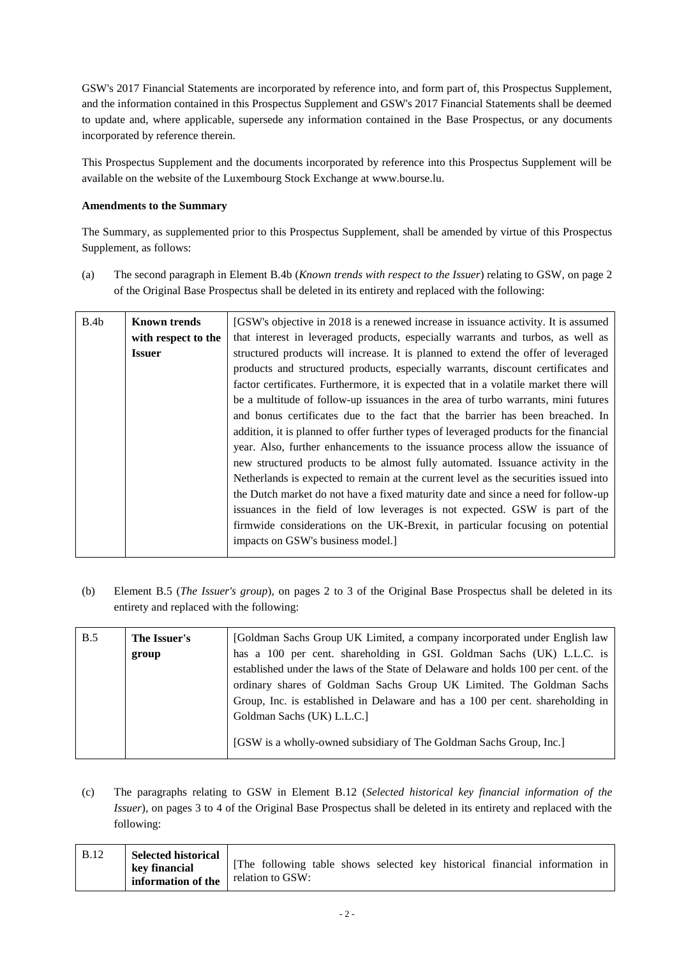GSW's 2017 Financial Statements are incorporated by reference into, and form part of, this Prospectus Supplement, and the information contained in this Prospectus Supplement and GSW's 2017 Financial Statements shall be deemed to update and, where applicable, supersede any information contained in the Base Prospectus, or any documents incorporated by reference therein.

This Prospectus Supplement and the documents incorporated by reference into this Prospectus Supplement will be available on the website of the Luxembourg Stock Exchange at www.bourse.lu.

# **Amendments to the Summary**

The Summary, as supplemented prior to this Prospectus Supplement, shall be amended by virtue of this Prospectus Supplement, as follows:

(a) The second paragraph in Element B.4b (*Known trends with respect to the Issuer*) relating to GSW, on page 2 of the Original Base Prospectus shall be deleted in its entirety and replaced with the following:

| B.4b | <b>Known trends</b> | [GSW's objective in 2018 is a renewed increase in issuance activity. It is assumed     |  |  |
|------|---------------------|----------------------------------------------------------------------------------------|--|--|
|      | with respect to the | that interest in leveraged products, especially warrants and turbos, as well as        |  |  |
|      | <b>Issuer</b>       | structured products will increase. It is planned to extend the offer of leveraged      |  |  |
|      |                     | products and structured products, especially warrants, discount certificates and       |  |  |
|      |                     | factor certificates. Furthermore, it is expected that in a volatile market there will  |  |  |
|      |                     | be a multitude of follow-up issuances in the area of turbo warrants, mini futures      |  |  |
|      |                     | and bonus certificates due to the fact that the barrier has been breached. In          |  |  |
|      |                     | addition, it is planned to offer further types of leveraged products for the financial |  |  |
|      |                     | year. Also, further enhancements to the issuance process allow the issuance of         |  |  |
|      |                     | new structured products to be almost fully automated. Issuance activity in the         |  |  |
|      |                     | Netherlands is expected to remain at the current level as the securities issued into   |  |  |
|      |                     | the Dutch market do not have a fixed maturity date and since a need for follow-up      |  |  |
|      |                     | issuances in the field of low leverages is not expected. GSW is part of the            |  |  |
|      |                     | firmwide considerations on the UK-Brexit, in particular focusing on potential          |  |  |
|      |                     | impacts on GSW's business model.]                                                      |  |  |
|      |                     |                                                                                        |  |  |

(b) Element B.5 (*The Issuer's group*)*,* on pages 2 to 3 of the Original Base Prospectus shall be deleted in its entirety and replaced with the following:

| B.5 | The Issuer's | [Goldman Sachs Group UK Limited, a company incorporated under English law          |  |  |
|-----|--------------|------------------------------------------------------------------------------------|--|--|
|     | group        | has a 100 per cent. shareholding in GSI. Goldman Sachs (UK) L.L.C. is              |  |  |
|     |              | established under the laws of the State of Delaware and holds 100 per cent. of the |  |  |
|     |              | ordinary shares of Goldman Sachs Group UK Limited. The Goldman Sachs               |  |  |
|     |              | Group, Inc. is established in Delaware and has a 100 per cent. shareholding in     |  |  |
|     |              | Goldman Sachs (UK) L.L.C.]                                                         |  |  |
|     |              | [GSW is a wholly-owned subsidiary of The Goldman Sachs Group, Inc.]                |  |  |

(c) The paragraphs relating to GSW in Element B.12 (*Selected historical key financial information of the Issuer*)*,* on pages 3 to 4 of the Original Base Prospectus shall be deleted in its entirety and replaced with the following:

| <b>Selected historical</b><br><b>B.12</b><br>key financial<br>information of the | The following table shows selected key historical financial information in<br>relation to GSW: |
|----------------------------------------------------------------------------------|------------------------------------------------------------------------------------------------|
|----------------------------------------------------------------------------------|------------------------------------------------------------------------------------------------|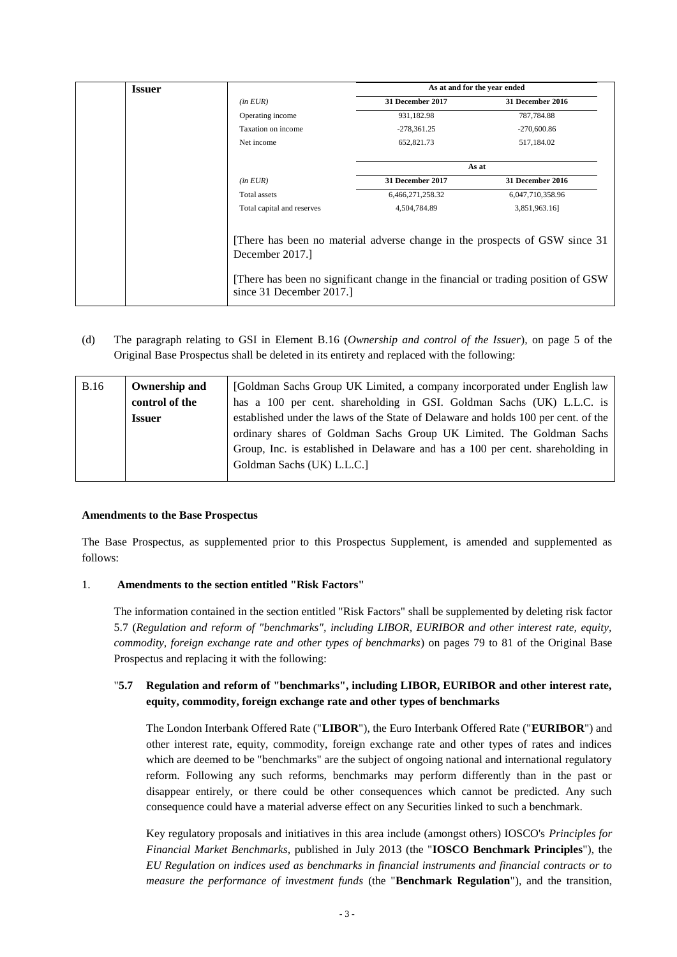| <b>Issuer</b> |                                           | As at and for the year ended |                                                                                                                                                                |
|---------------|-------------------------------------------|------------------------------|----------------------------------------------------------------------------------------------------------------------------------------------------------------|
|               | $(in$ <i>EUR</i> $)$                      | 31 December 2017             | <b>31 December 2016</b>                                                                                                                                        |
|               | Operating income                          | 931,182.98                   | 787,784.88                                                                                                                                                     |
|               | Taxation on income                        | $-278,361.25$                | $-270,600.86$                                                                                                                                                  |
|               | Net income                                | 652,821.73                   | 517,184.02                                                                                                                                                     |
|               |                                           |                              | As at                                                                                                                                                          |
|               | $(in$ <i>EUR</i> $)$                      | 31 December 2017             | <b>31 December 2016</b>                                                                                                                                        |
|               | Total assets                              | 6,466,271,258.32             | 6,047,710,358.96                                                                                                                                               |
|               | Total capital and reserves                | 4,504,784.89                 | 3,851,963.16]                                                                                                                                                  |
|               | December 2017.<br>since 31 December 2017. |                              | There has been no material adverse change in the prospects of GSW since 31<br>There has been no significant change in the financial or trading position of GSW |

(d) The paragraph relating to GSI in Element B.16 (*Ownership and control of the Issuer*)*,* on page 5 of the Original Base Prospectus shall be deleted in its entirety and replaced with the following:

| <b>B.16</b> | Ownership and  | [Goldman Sachs Group UK Limited, a company incorporated under English law          |  |  |
|-------------|----------------|------------------------------------------------------------------------------------|--|--|
|             | control of the | has a 100 per cent. shareholding in GSI. Goldman Sachs (UK) L.L.C. is              |  |  |
|             | <b>Issuer</b>  | established under the laws of the State of Delaware and holds 100 per cent. of the |  |  |
|             |                | ordinary shares of Goldman Sachs Group UK Limited. The Goldman Sachs               |  |  |
|             |                | Group, Inc. is established in Delaware and has a 100 per cent. shareholding in     |  |  |
|             |                | Goldman Sachs (UK) L.L.C.                                                          |  |  |
|             |                |                                                                                    |  |  |

# **Amendments to the Base Prospectus**

The Base Prospectus, as supplemented prior to this Prospectus Supplement, is amended and supplemented as follows:

# 1. **Amendments to the section entitled "Risk Factors"**

The information contained in the section entitled "Risk Factors" shall be supplemented by deleting risk factor 5.7 (*Regulation and reform of "benchmarks", including LIBOR, EURIBOR and other interest rate, equity, commodity, foreign exchange rate and other types of benchmarks*) on pages 79 to 81 of the Original Base Prospectus and replacing it with the following:

# "**5.7 Regulation and reform of "benchmarks", including LIBOR, EURIBOR and other interest rate, equity, commodity, foreign exchange rate and other types of benchmarks**

The London Interbank Offered Rate ("**LIBOR**"), the Euro Interbank Offered Rate ("**EURIBOR**") and other interest rate, equity, commodity, foreign exchange rate and other types of rates and indices which are deemed to be "benchmarks" are the subject of ongoing national and international regulatory reform. Following any such reforms, benchmarks may perform differently than in the past or disappear entirely, or there could be other consequences which cannot be predicted. Any such consequence could have a material adverse effect on any Securities linked to such a benchmark.

Key regulatory proposals and initiatives in this area include (amongst others) IOSCO's *Principles for Financial Market Benchmarks*, published in July 2013 (the "**IOSCO Benchmark Principles**"), the *EU Regulation on indices used as benchmarks in financial instruments and financial contracts or to measure the performance of investment funds* (the "**Benchmark Regulation**"), and the transition,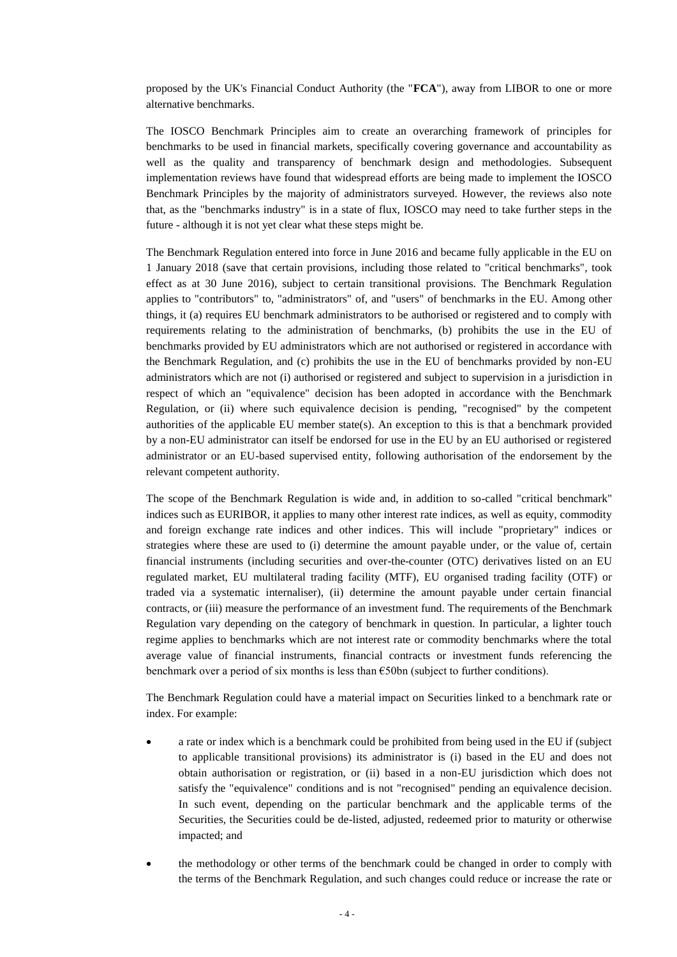proposed by the UK's Financial Conduct Authority (the "**FCA**"), away from LIBOR to one or more alternative benchmarks.

The IOSCO Benchmark Principles aim to create an overarching framework of principles for benchmarks to be used in financial markets, specifically covering governance and accountability as well as the quality and transparency of benchmark design and methodologies. Subsequent implementation reviews have found that widespread efforts are being made to implement the IOSCO Benchmark Principles by the majority of administrators surveyed. However, the reviews also note that, as the "benchmarks industry" is in a state of flux, IOSCO may need to take further steps in the future - although it is not yet clear what these steps might be.

The Benchmark Regulation entered into force in June 2016 and became fully applicable in the EU on 1 January 2018 (save that certain provisions, including those related to "critical benchmarks", took effect as at 30 June 2016), subject to certain transitional provisions. The Benchmark Regulation applies to "contributors" to, "administrators" of, and "users" of benchmarks in the EU. Among other things, it (a) requires EU benchmark administrators to be authorised or registered and to comply with requirements relating to the administration of benchmarks, (b) prohibits the use in the EU of benchmarks provided by EU administrators which are not authorised or registered in accordance with the Benchmark Regulation, and (c) prohibits the use in the EU of benchmarks provided by non-EU administrators which are not (i) authorised or registered and subject to supervision in a jurisdiction in respect of which an "equivalence" decision has been adopted in accordance with the Benchmark Regulation, or (ii) where such equivalence decision is pending, "recognised" by the competent authorities of the applicable EU member state(s). An exception to this is that a benchmark provided by a non-EU administrator can itself be endorsed for use in the EU by an EU authorised or registered administrator or an EU-based supervised entity, following authorisation of the endorsement by the relevant competent authority.

The scope of the Benchmark Regulation is wide and, in addition to so-called "critical benchmark" indices such as EURIBOR, it applies to many other interest rate indices, as well as equity, commodity and foreign exchange rate indices and other indices. This will include "proprietary" indices or strategies where these are used to (i) determine the amount payable under, or the value of, certain financial instruments (including securities and over-the-counter (OTC) derivatives listed on an EU regulated market, EU multilateral trading facility (MTF), EU organised trading facility (OTF) or traded via a systematic internaliser), (ii) determine the amount payable under certain financial contracts, or (iii) measure the performance of an investment fund. The requirements of the Benchmark Regulation vary depending on the category of benchmark in question. In particular, a lighter touch regime applies to benchmarks which are not interest rate or commodity benchmarks where the total average value of financial instruments, financial contracts or investment funds referencing the benchmark over a period of six months is less than €50bn (subject to further conditions).

The Benchmark Regulation could have a material impact on Securities linked to a benchmark rate or index. For example:

- a rate or index which is a benchmark could be prohibited from being used in the EU if (subject to applicable transitional provisions) its administrator is (i) based in the EU and does not obtain authorisation or registration, or (ii) based in a non-EU jurisdiction which does not satisfy the "equivalence" conditions and is not "recognised" pending an equivalence decision. In such event, depending on the particular benchmark and the applicable terms of the Securities, the Securities could be de-listed, adjusted, redeemed prior to maturity or otherwise impacted; and
- the methodology or other terms of the benchmark could be changed in order to comply with the terms of the Benchmark Regulation, and such changes could reduce or increase the rate or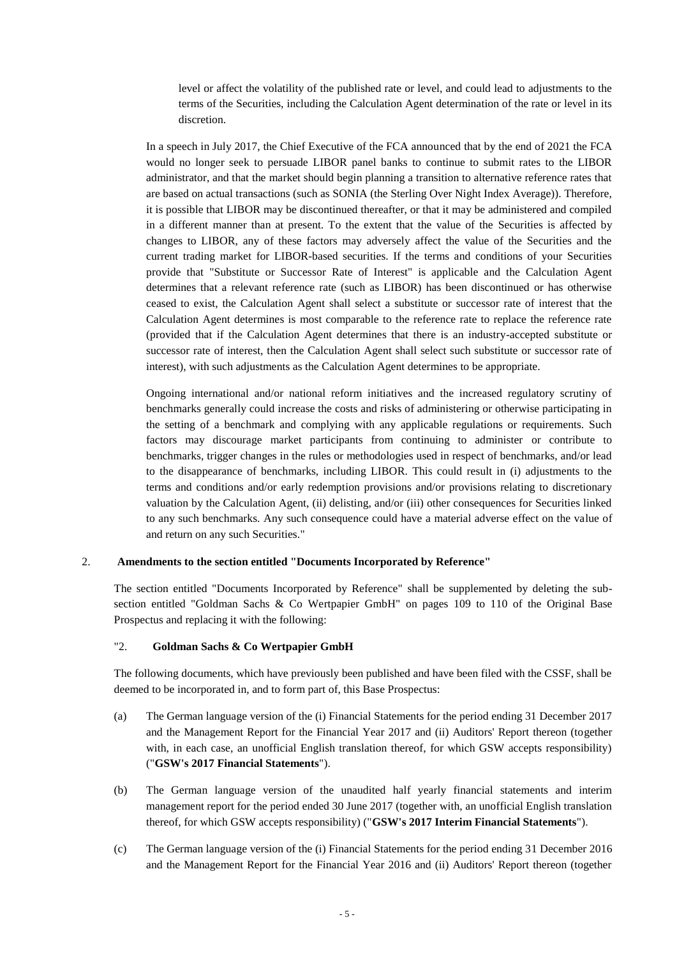level or affect the volatility of the published rate or level, and could lead to adjustments to the terms of the Securities, including the Calculation Agent determination of the rate or level in its discretion.

In a speech in July 2017, the Chief Executive of the FCA announced that by the end of 2021 the FCA would no longer seek to persuade LIBOR panel banks to continue to submit rates to the LIBOR administrator, and that the market should begin planning a transition to alternative reference rates that are based on actual transactions (such as SONIA (the Sterling Over Night Index Average)). Therefore, it is possible that LIBOR may be discontinued thereafter, or that it may be administered and compiled in a different manner than at present. To the extent that the value of the Securities is affected by changes to LIBOR, any of these factors may adversely affect the value of the Securities and the current trading market for LIBOR-based securities. If the terms and conditions of your Securities provide that "Substitute or Successor Rate of Interest" is applicable and the Calculation Agent determines that a relevant reference rate (such as LIBOR) has been discontinued or has otherwise ceased to exist, the Calculation Agent shall select a substitute or successor rate of interest that the Calculation Agent determines is most comparable to the reference rate to replace the reference rate (provided that if the Calculation Agent determines that there is an industry-accepted substitute or successor rate of interest, then the Calculation Agent shall select such substitute or successor rate of interest), with such adjustments as the Calculation Agent determines to be appropriate.

Ongoing international and/or national reform initiatives and the increased regulatory scrutiny of benchmarks generally could increase the costs and risks of administering or otherwise participating in the setting of a benchmark and complying with any applicable regulations or requirements. Such factors may discourage market participants from continuing to administer or contribute to benchmarks, trigger changes in the rules or methodologies used in respect of benchmarks, and/or lead to the disappearance of benchmarks, including LIBOR. This could result in (i) adjustments to the terms and conditions and/or early redemption provisions and/or provisions relating to discretionary valuation by the Calculation Agent, (ii) delisting, and/or (iii) other consequences for Securities linked to any such benchmarks. Any such consequence could have a material adverse effect on the value of and return on any such Securities."

# 2. **Amendments to the section entitled "Documents Incorporated by Reference"**

The section entitled "Documents Incorporated by Reference" shall be supplemented by deleting the subsection entitled "Goldman Sachs & Co Wertpapier GmbH" on pages 109 to 110 of the Original Base Prospectus and replacing it with the following:

# "2. **Goldman Sachs & Co Wertpapier GmbH**

The following documents, which have previously been published and have been filed with the CSSF, shall be deemed to be incorporated in, and to form part of, this Base Prospectus:

- (a) The German language version of the (i) Financial Statements for the period ending 31 December 2017 and the Management Report for the Financial Year 2017 and (ii) Auditors' Report thereon (together with, in each case, an unofficial English translation thereof, for which GSW accepts responsibility) ("**GSW's 2017 Financial Statements**").
- (b) The German language version of the unaudited half yearly financial statements and interim management report for the period ended 30 June 2017 (together with, an unofficial English translation thereof, for which GSW accepts responsibility) ("**GSW's 2017 Interim Financial Statements**").
- (c) The German language version of the (i) Financial Statements for the period ending 31 December 2016 and the Management Report for the Financial Year 2016 and (ii) Auditors' Report thereon (together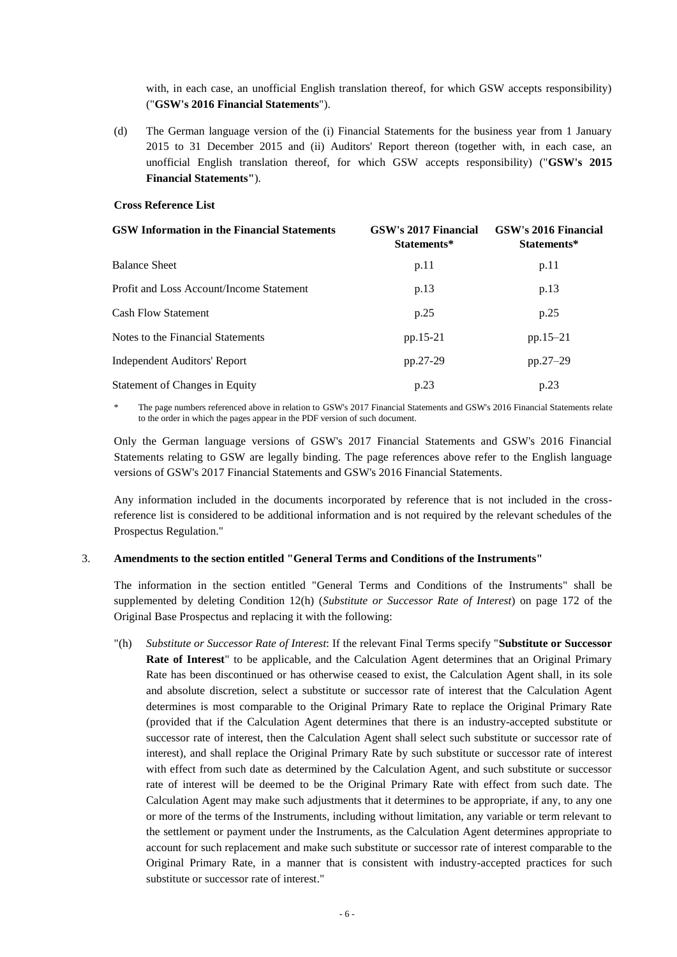with, in each case, an unofficial English translation thereof, for which GSW accepts responsibility) ("**GSW's 2016 Financial Statements**").

(d) The German language version of the (i) Financial Statements for the business year from 1 January 2015 to 31 December 2015 and (ii) Auditors' Report thereon (together with, in each case, an unofficial English translation thereof, for which GSW accepts responsibility) ("**GSW's 2015 Financial Statements"**).

## **Cross Reference List**

| <b>GSW Information in the Financial Statements</b> | GSW's 2017 Financial<br>Statements* | GSW's 2016 Financial<br>Statements* |
|----------------------------------------------------|-------------------------------------|-------------------------------------|
| <b>Balance Sheet</b>                               | p.11                                | p.11                                |
| Profit and Loss Account/Income Statement           | p.13                                | p.13                                |
| <b>Cash Flow Statement</b>                         | p.25                                | p.25                                |
| Notes to the Financial Statements                  | pp.15-21                            | $pp.15-21$                          |
| Independent Auditors' Report                       | pp.27-29                            | pp.27-29                            |
| <b>Statement of Changes in Equity</b>              | p.23                                | p.23                                |

The page numbers referenced above in relation to GSW's 2017 Financial Statements and GSW's 2016 Financial Statements relate to the order in which the pages appear in the PDF version of such document.

Only the German language versions of GSW's 2017 Financial Statements and GSW's 2016 Financial Statements relating to GSW are legally binding. The page references above refer to the English language versions of GSW's 2017 Financial Statements and GSW's 2016 Financial Statements.

Any information included in the documents incorporated by reference that is not included in the crossreference list is considered to be additional information and is not required by the relevant schedules of the Prospectus Regulation."

### 3. **Amendments to the section entitled "General Terms and Conditions of the Instruments"**

The information in the section entitled "General Terms and Conditions of the Instruments" shall be supplemented by deleting Condition 12(h) (*Substitute or Successor Rate of Interest*) on page 172 of the Original Base Prospectus and replacing it with the following:

"(h) *Substitute or Successor Rate of Interest*: If the relevant Final Terms specify "**Substitute or Successor Rate of Interest**" to be applicable, and the Calculation Agent determines that an Original Primary Rate has been discontinued or has otherwise ceased to exist, the Calculation Agent shall, in its sole and absolute discretion, select a substitute or successor rate of interest that the Calculation Agent determines is most comparable to the Original Primary Rate to replace the Original Primary Rate (provided that if the Calculation Agent determines that there is an industry-accepted substitute or successor rate of interest, then the Calculation Agent shall select such substitute or successor rate of interest), and shall replace the Original Primary Rate by such substitute or successor rate of interest with effect from such date as determined by the Calculation Agent, and such substitute or successor rate of interest will be deemed to be the Original Primary Rate with effect from such date. The Calculation Agent may make such adjustments that it determines to be appropriate, if any, to any one or more of the terms of the Instruments, including without limitation, any variable or term relevant to the settlement or payment under the Instruments, as the Calculation Agent determines appropriate to account for such replacement and make such substitute or successor rate of interest comparable to the Original Primary Rate, in a manner that is consistent with industry-accepted practices for such substitute or successor rate of interest."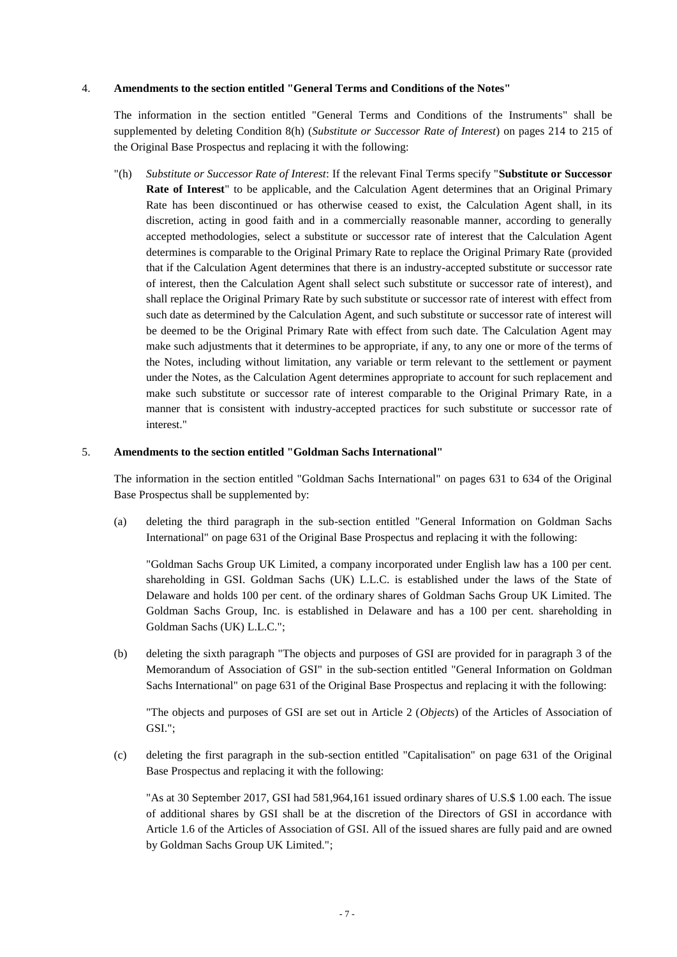# 4. **Amendments to the section entitled "General Terms and Conditions of the Notes"**

The information in the section entitled "General Terms and Conditions of the Instruments" shall be supplemented by deleting Condition 8(h) (*Substitute or Successor Rate of Interest*) on pages 214 to 215 of the Original Base Prospectus and replacing it with the following:

"(h) *Substitute or Successor Rate of Interest*: If the relevant Final Terms specify "**Substitute or Successor Rate of Interest**" to be applicable, and the Calculation Agent determines that an Original Primary Rate has been discontinued or has otherwise ceased to exist, the Calculation Agent shall, in its discretion, acting in good faith and in a commercially reasonable manner, according to generally accepted methodologies, select a substitute or successor rate of interest that the Calculation Agent determines is comparable to the Original Primary Rate to replace the Original Primary Rate (provided that if the Calculation Agent determines that there is an industry-accepted substitute or successor rate of interest, then the Calculation Agent shall select such substitute or successor rate of interest), and shall replace the Original Primary Rate by such substitute or successor rate of interest with effect from such date as determined by the Calculation Agent, and such substitute or successor rate of interest will be deemed to be the Original Primary Rate with effect from such date. The Calculation Agent may make such adjustments that it determines to be appropriate, if any, to any one or more of the terms of the Notes, including without limitation, any variable or term relevant to the settlement or payment under the Notes, as the Calculation Agent determines appropriate to account for such replacement and make such substitute or successor rate of interest comparable to the Original Primary Rate, in a manner that is consistent with industry-accepted practices for such substitute or successor rate of interest."

## 5. **Amendments to the section entitled "Goldman Sachs International"**

The information in the section entitled "Goldman Sachs International" on pages 631 to 634 of the Original Base Prospectus shall be supplemented by:

(a) deleting the third paragraph in the sub-section entitled "General Information on Goldman Sachs International" on page 631 of the Original Base Prospectus and replacing it with the following:

"Goldman Sachs Group UK Limited, a company incorporated under English law has a 100 per cent. shareholding in GSI. Goldman Sachs (UK) L.L.C. is established under the laws of the State of Delaware and holds 100 per cent. of the ordinary shares of Goldman Sachs Group UK Limited. The Goldman Sachs Group, Inc. is established in Delaware and has a 100 per cent. shareholding in Goldman Sachs (UK) L.L.C.";

(b) deleting the sixth paragraph "The objects and purposes of GSI are provided for in paragraph 3 of the Memorandum of Association of GSI" in the sub-section entitled "General Information on Goldman Sachs International" on page 631 of the Original Base Prospectus and replacing it with the following:

"The objects and purposes of GSI are set out in Article 2 (*Objects*) of the Articles of Association of GSI.";

(c) deleting the first paragraph in the sub-section entitled "Capitalisation" on page 631 of the Original Base Prospectus and replacing it with the following:

"As at 30 September 2017, GSI had 581,964,161 issued ordinary shares of U.S.\$ 1.00 each. The issue of additional shares by GSI shall be at the discretion of the Directors of GSI in accordance with Article 1.6 of the Articles of Association of GSI. All of the issued shares are fully paid and are owned by Goldman Sachs Group UK Limited.";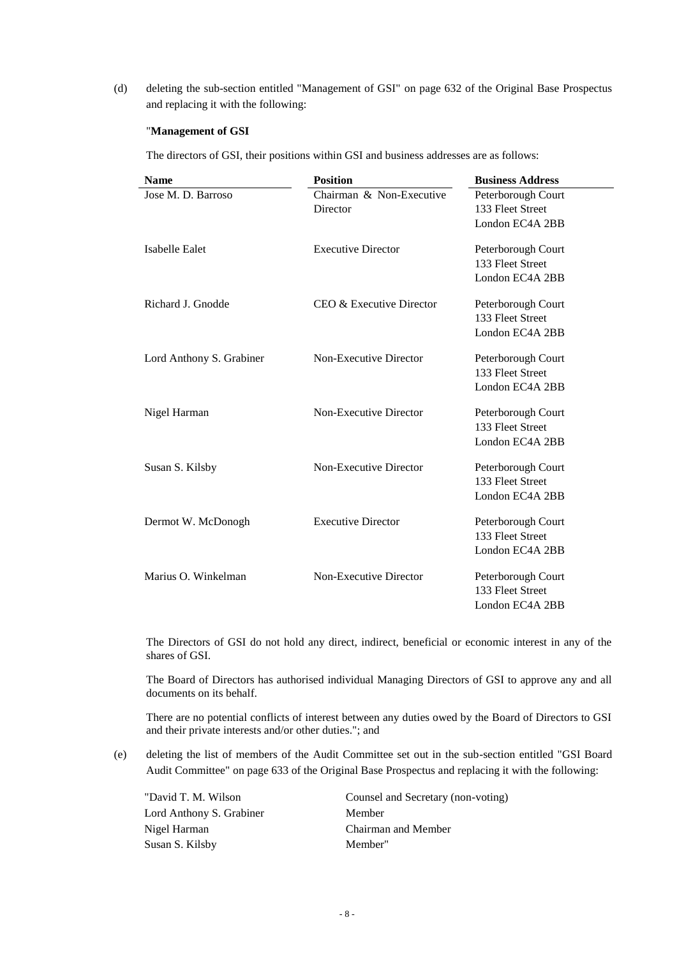(d) deleting the sub-section entitled "Management of GSI" on page 632 of the Original Base Prospectus and replacing it with the following:

### "**Management of GSI**

The directors of GSI, their positions within GSI and business addresses are as follows:

| <b>Name</b>              | <b>Position</b>           | <b>Business Address</b> |
|--------------------------|---------------------------|-------------------------|
| Jose M. D. Barroso       | Chairman & Non-Executive  | Peterborough Court      |
|                          | Director                  | 133 Fleet Street        |
|                          |                           | London EC4A 2BB         |
| Isabelle Ealet           | <b>Executive Director</b> | Peterborough Court      |
|                          |                           | 133 Fleet Street        |
|                          |                           | London EC4A 2BB         |
| Richard J. Gnodde        | CEO & Executive Director  | Peterborough Court      |
|                          |                           | 133 Fleet Street        |
|                          |                           | London EC4A 2BB         |
| Lord Anthony S. Grabiner | Non-Executive Director    | Peterborough Court      |
|                          |                           | 133 Fleet Street        |
|                          |                           | London EC4A 2BB         |
| Nigel Harman             | Non-Executive Director    | Peterborough Court      |
|                          |                           | 133 Fleet Street        |
|                          |                           | London EC4A 2BB         |
| Susan S. Kilsby          | Non-Executive Director    | Peterborough Court      |
|                          |                           | 133 Fleet Street        |
|                          |                           | London EC4A 2BB         |
| Dermot W. McDonogh       | <b>Executive Director</b> | Peterborough Court      |
|                          |                           | 133 Fleet Street        |
|                          |                           | London EC4A 2BB         |
| Marius O. Winkelman      | Non-Executive Director    | Peterborough Court      |
|                          |                           | 133 Fleet Street        |
|                          |                           | London EC4A 2BB         |

The Directors of GSI do not hold any direct, indirect, beneficial or economic interest in any of the shares of GSI.

The Board of Directors has authorised individual Managing Directors of GSI to approve any and all documents on its behalf.

There are no potential conflicts of interest between any duties owed by the Board of Directors to GSI and their private interests and/or other duties."; and

(e) deleting the list of members of the Audit Committee set out in the sub-section entitled "GSI Board Audit Committee" on page 633 of the Original Base Prospectus and replacing it with the following:

| "David T. M. Wilson      | Counsel and Secretary (non-voting) |
|--------------------------|------------------------------------|
| Lord Anthony S. Grabiner | Member                             |
| Nigel Harman             | Chairman and Member                |
| Susan S. Kilsby          | Member"                            |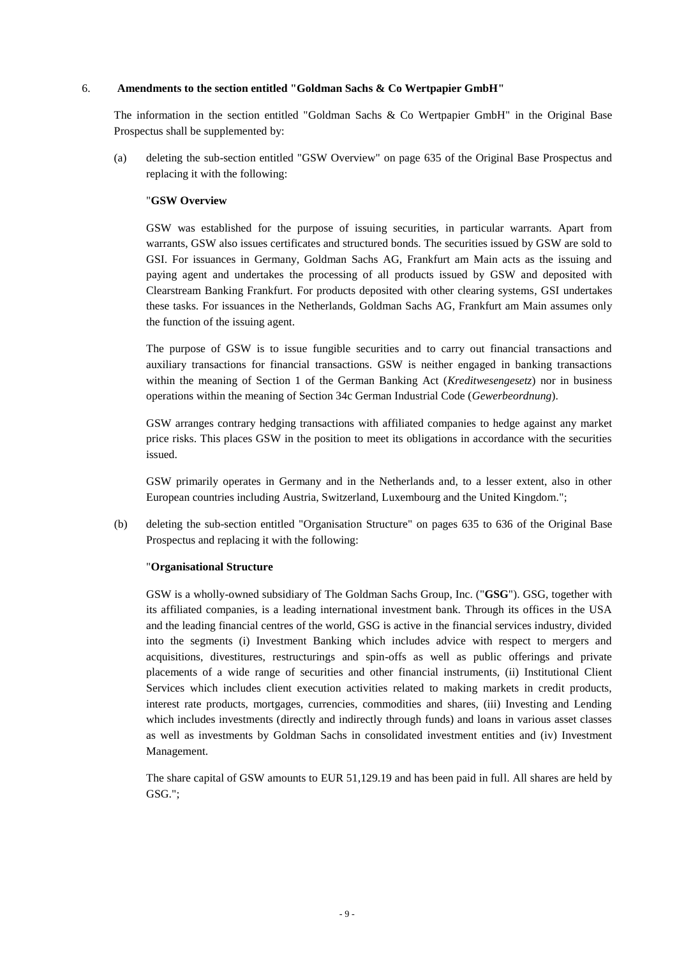## 6. **Amendments to the section entitled "Goldman Sachs & Co Wertpapier GmbH"**

The information in the section entitled "Goldman Sachs & Co Wertpapier GmbH" in the Original Base Prospectus shall be supplemented by:

(a) deleting the sub-section entitled "GSW Overview" on page 635 of the Original Base Prospectus and replacing it with the following:

### "**GSW Overview**

GSW was established for the purpose of issuing securities, in particular warrants. Apart from warrants, GSW also issues certificates and structured bonds. The securities issued by GSW are sold to GSI. For issuances in Germany, Goldman Sachs AG, Frankfurt am Main acts as the issuing and paying agent and undertakes the processing of all products issued by GSW and deposited with Clearstream Banking Frankfurt. For products deposited with other clearing systems, GSI undertakes these tasks. For issuances in the Netherlands, Goldman Sachs AG, Frankfurt am Main assumes only the function of the issuing agent.

The purpose of GSW is to issue fungible securities and to carry out financial transactions and auxiliary transactions for financial transactions. GSW is neither engaged in banking transactions within the meaning of Section 1 of the German Banking Act (*Kreditwesengesetz*) nor in business operations within the meaning of Section 34c German Industrial Code (*Gewerbeordnung*).

GSW arranges contrary hedging transactions with affiliated companies to hedge against any market price risks. This places GSW in the position to meet its obligations in accordance with the securities issued.

GSW primarily operates in Germany and in the Netherlands and, to a lesser extent, also in other European countries including Austria, Switzerland, Luxembourg and the United Kingdom.";

(b) deleting the sub-section entitled "Organisation Structure" on pages 635 to 636 of the Original Base Prospectus and replacing it with the following:

### "**Organisational Structure**

GSW is a wholly-owned subsidiary of The Goldman Sachs Group, Inc. ("**GSG**"). GSG, together with its affiliated companies, is a leading international investment bank. Through its offices in the USA and the leading financial centres of the world, GSG is active in the financial services industry, divided into the segments (i) Investment Banking which includes advice with respect to mergers and acquisitions, divestitures, restructurings and spin-offs as well as public offerings and private placements of a wide range of securities and other financial instruments, (ii) Institutional Client Services which includes client execution activities related to making markets in credit products, interest rate products, mortgages, currencies, commodities and shares, (iii) Investing and Lending which includes investments (directly and indirectly through funds) and loans in various asset classes as well as investments by Goldman Sachs in consolidated investment entities and (iv) Investment Management.

The share capital of GSW amounts to EUR 51,129.19 and has been paid in full. All shares are held by GSG.";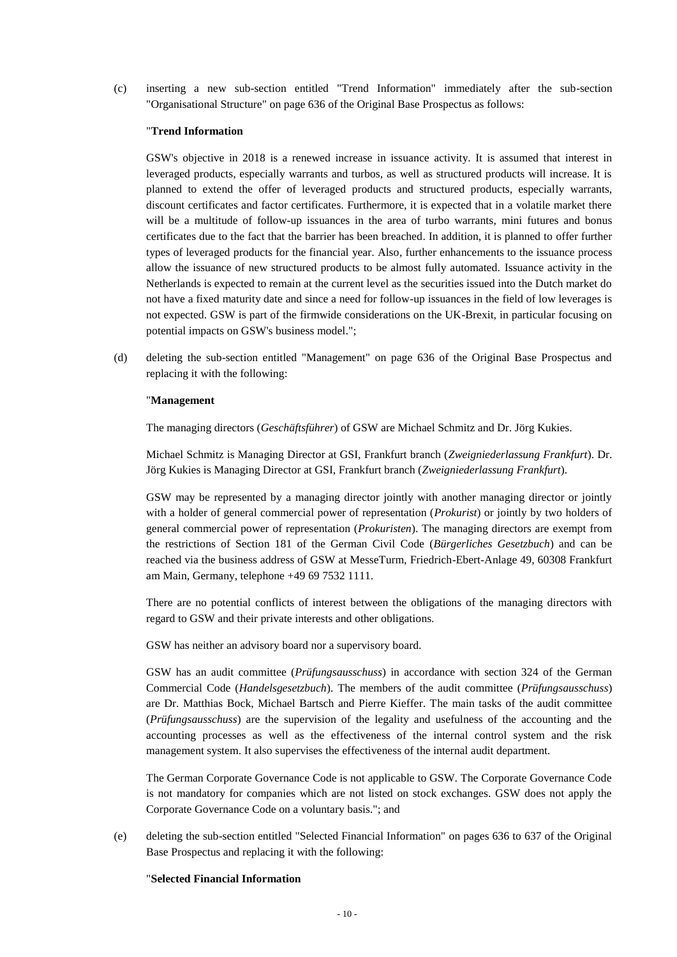(c) inserting a new sub-section entitled "Trend Information" immediately after the sub-section "Organisational Structure" on page 636 of the Original Base Prospectus as follows:

### "**Trend Information**

GSW's objective in 2018 is a renewed increase in issuance activity. It is assumed that interest in leveraged products, especially warrants and turbos, as well as structured products will increase. It is planned to extend the offer of leveraged products and structured products, especially warrants, discount certificates and factor certificates. Furthermore, it is expected that in a volatile market there will be a multitude of follow-up issuances in the area of turbo warrants, mini futures and bonus certificates due to the fact that the barrier has been breached. In addition, it is planned to offer further types of leveraged products for the financial year. Also, further enhancements to the issuance process allow the issuance of new structured products to be almost fully automated. Issuance activity in the Netherlands is expected to remain at the current level as the securities issued into the Dutch market do not have a fixed maturity date and since a need for follow-up issuances in the field of low leverages is not expected. GSW is part of the firmwide considerations on the UK-Brexit, in particular focusing on potential impacts on GSW's business model.";

(d) deleting the sub-section entitled "Management" on page 636 of the Original Base Prospectus and replacing it with the following:

#### "**Management**

The managing directors (*Geschäftsführer*) of GSW are Michael Schmitz and Dr. Jörg Kukies.

Michael Schmitz is Managing Director at GSI, Frankfurt branch (*Zweigniederlassung Frankfurt*). Dr. Jörg Kukies is Managing Director at GSI, Frankfurt branch (*Zweigniederlassung Frankfurt*).

GSW may be represented by a managing director jointly with another managing director or jointly with a holder of general commercial power of representation (*Prokurist*) or jointly by two holders of general commercial power of representation (*Prokuristen*). The managing directors are exempt from the restrictions of Section 181 of the German Civil Code (*Bürgerliches Gesetzbuch*) and can be reached via the business address of GSW at MesseTurm, Friedrich-Ebert-Anlage 49, 60308 Frankfurt am Main, Germany, telephone +49 69 7532 1111.

There are no potential conflicts of interest between the obligations of the managing directors with regard to GSW and their private interests and other obligations.

GSW has neither an advisory board nor a supervisory board.

GSW has an audit committee (*Prüfungsausschuss*) in accordance with section 324 of the German Commercial Code (*Handelsgesetzbuch*). The members of the audit committee (*Prüfungsausschuss*) are Dr. Matthias Bock, Michael Bartsch and Pierre Kieffer. The main tasks of the audit committee (*Prüfungsausschuss*) are the supervision of the legality and usefulness of the accounting and the accounting processes as well as the effectiveness of the internal control system and the risk management system. It also supervises the effectiveness of the internal audit department.

The German Corporate Governance Code is not applicable to GSW. The Corporate Governance Code is not mandatory for companies which are not listed on stock exchanges. GSW does not apply the Corporate Governance Code on a voluntary basis."; and

(e) deleting the sub-section entitled "Selected Financial Information" on pages 636 to 637 of the Original Base Prospectus and replacing it with the following:

## "**Selected Financial Information**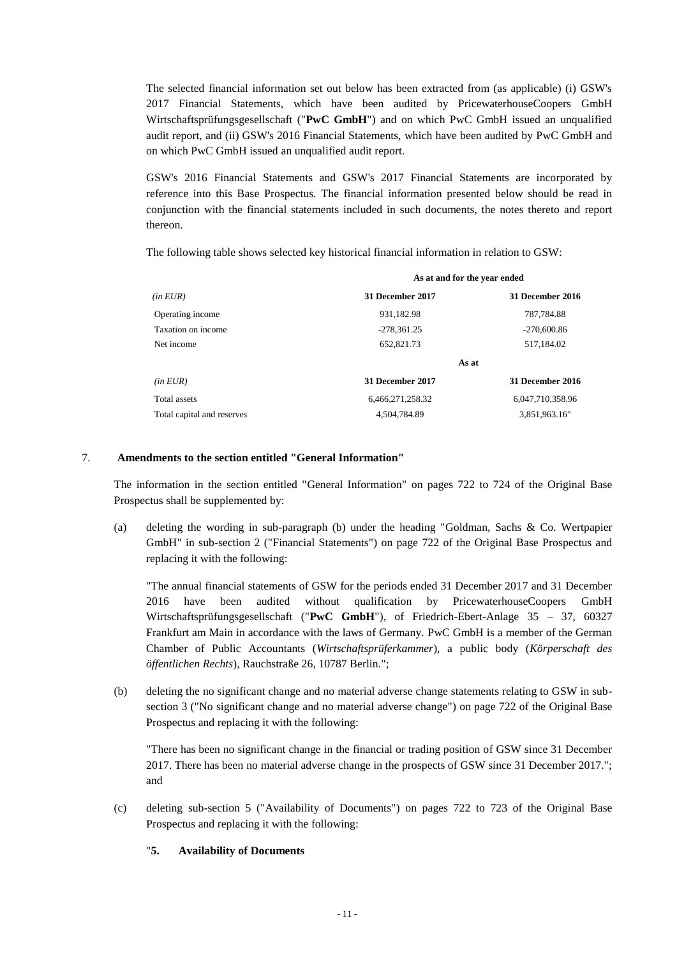The selected financial information set out below has been extracted from (as applicable) (i) GSW's 2017 Financial Statements, which have been audited by PricewaterhouseCoopers GmbH Wirtschaftsprüfungsgesellschaft ("**PwC GmbH**") and on which PwC GmbH issued an unqualified audit report, and (ii) GSW's 2016 Financial Statements, which have been audited by PwC GmbH and on which PwC GmbH issued an unqualified audit report.

GSW's 2016 Financial Statements and GSW's 2017 Financial Statements are incorporated by reference into this Base Prospectus. The financial information presented below should be read in conjunction with the financial statements included in such documents, the notes thereto and report thereon.

The following table shows selected key historical financial information in relation to GSW:

|                            | As at and for the year ended |                         |  |
|----------------------------|------------------------------|-------------------------|--|
| (in EUR)                   | 31 December 2017             | <b>31 December 2016</b> |  |
| Operating income           | 931,182.98                   | 787,784.88              |  |
| Taxation on income         | $-278,361.25$                | $-270,600.86$           |  |
| Net income                 | 652,821.73                   | 517,184.02              |  |
|                            | As at                        |                         |  |
| (in EUR)                   | 31 December 2017             | <b>31 December 2016</b> |  |
| Total assets               | 6,466,271,258.32             | 6,047,710,358.96        |  |
| Total capital and reserves | 4.504.784.89                 | 3,851,963.16"           |  |

# 7. **Amendments to the section entitled "General Information"**

The information in the section entitled "General Information" on pages 722 to 724 of the Original Base Prospectus shall be supplemented by:

(a) deleting the wording in sub-paragraph (b) under the heading "Goldman, Sachs & Co. Wertpapier GmbH" in sub-section 2 ("Financial Statements") on page 722 of the Original Base Prospectus and replacing it with the following:

"The annual financial statements of GSW for the periods ended 31 December 2017 and 31 December 2016 have been audited without qualification by PricewaterhouseCoopers GmbH Wirtschaftsprüfungsgesellschaft ("**PwC GmbH**"), of Friedrich-Ebert-Anlage 35 – 37, 60327 Frankfurt am Main in accordance with the laws of Germany. PwC GmbH is a member of the German Chamber of Public Accountants (*Wirtschaftsprüferkammer*), a public body (*Körperschaft des öffentlichen Rechts*), Rauchstraße 26, 10787 Berlin.";

(b) deleting the no significant change and no material adverse change statements relating to GSW in subsection 3 ("No significant change and no material adverse change") on page 722 of the Original Base Prospectus and replacing it with the following:

"There has been no significant change in the financial or trading position of GSW since 31 December 2017. There has been no material adverse change in the prospects of GSW since 31 December 2017."; and

(c) deleting sub-section 5 ("Availability of Documents") on pages 722 to 723 of the Original Base Prospectus and replacing it with the following:

# "**5. Availability of Documents**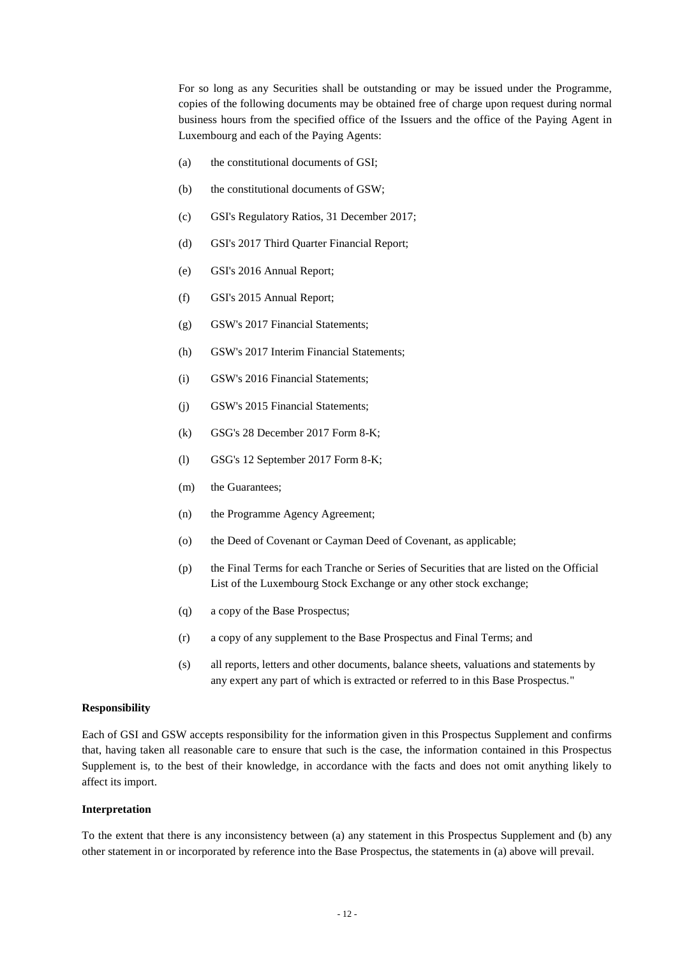For so long as any Securities shall be outstanding or may be issued under the Programme, copies of the following documents may be obtained free of charge upon request during normal business hours from the specified office of the Issuers and the office of the Paying Agent in Luxembourg and each of the Paying Agents:

- (a) the constitutional documents of GSI;
- (b) the constitutional documents of GSW;
- (c) GSI's Regulatory Ratios, 31 December 2017;
- (d) GSI's 2017 Third Quarter Financial Report;
- (e) GSI's 2016 Annual Report;
- (f) GSI's 2015 Annual Report;
- (g) GSW's 2017 Financial Statements;
- (h) GSW's 2017 Interim Financial Statements;
- (i) GSW's 2016 Financial Statements;
- (j) GSW's 2015 Financial Statements;
- (k) GSG's 28 December 2017 Form 8-K;
- (l) GSG's 12 September 2017 Form 8-K;
- (m) the Guarantees;
- (n) the Programme Agency Agreement;
- (o) the Deed of Covenant or Cayman Deed of Covenant, as applicable;
- (p) the Final Terms for each Tranche or Series of Securities that are listed on the Official List of the Luxembourg Stock Exchange or any other stock exchange;
- (q) a copy of the Base Prospectus;
- (r) a copy of any supplement to the Base Prospectus and Final Terms; and
- (s) all reports, letters and other documents, balance sheets, valuations and statements by any expert any part of which is extracted or referred to in this Base Prospectus."

## **Responsibility**

Each of GSI and GSW accepts responsibility for the information given in this Prospectus Supplement and confirms that, having taken all reasonable care to ensure that such is the case, the information contained in this Prospectus Supplement is, to the best of their knowledge, in accordance with the facts and does not omit anything likely to affect its import.

## **Interpretation**

To the extent that there is any inconsistency between (a) any statement in this Prospectus Supplement and (b) any other statement in or incorporated by reference into the Base Prospectus, the statements in (a) above will prevail.